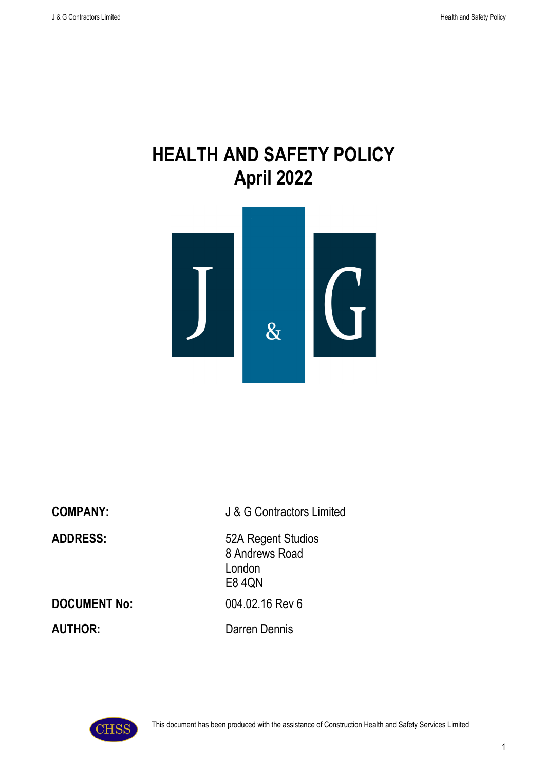# **HEALTH AND SAFETY POLICY April 2022**



**COMPANY:** J & G Contractors Limited **ADDRESS:** 52A Regent Studios 8 Andrews Road London E8 4QN **DOCUMENT No:** 004.02.16 Rev 6

**AUTHOR:** Darren Dennis



This document has been produced with the assistance of Construction Health and Safety Services Limited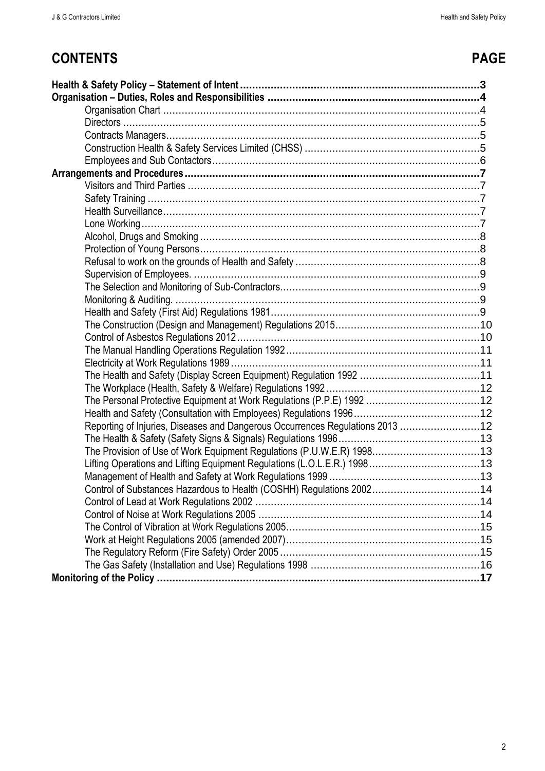# **CONTENTS PAGE**

| Reporting of Injuries, Diseases and Dangerous Occurrences Regulations 2013 12 |
|-------------------------------------------------------------------------------|
|                                                                               |
| The Provision of Use of Work Equipment Regulations (P.U.W.E.R) 199813         |
|                                                                               |
|                                                                               |
| Control of Substances Hazardous to Health (COSHH) Regulations 200214          |
|                                                                               |
|                                                                               |
|                                                                               |
|                                                                               |
|                                                                               |
|                                                                               |
|                                                                               |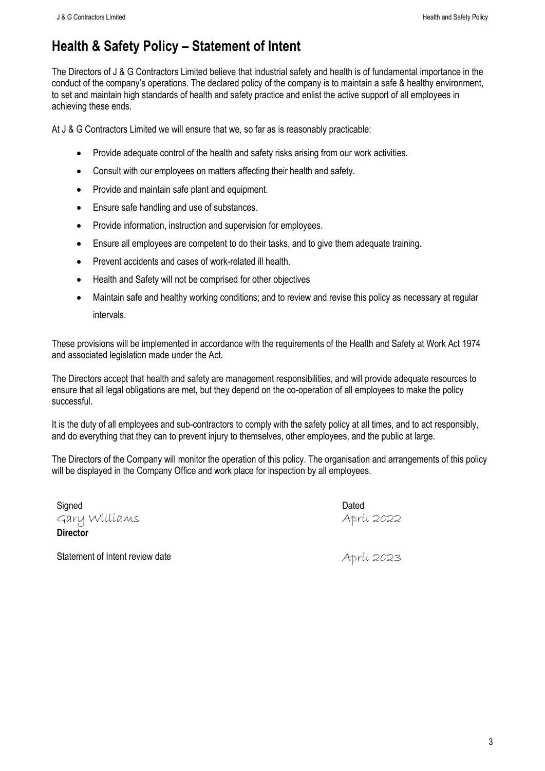# <span id="page-2-0"></span>**Health & Safety Policy – Statement of Intent**

The Directors of J & G Contractors Limited believe that industrial safety and health is of fundamental importance in the conduct of the company's operations. The declared policy of the company is to maintain a safe & healthy environment, to set and maintain high standards of health and safety practice and enlist the active support of all employees in achieving these ends.

At J & G Contractors Limited we will ensure that we, so far as is reasonably practicable:

- Provide adequate control of the health and safety risks arising from our work activities.
- Consult with our employees on matters affecting their health and safety.
- Provide and maintain safe plant and equipment.
- Ensure safe handling and use of substances.
- Provide information, instruction and supervision for employees.
- Ensure all employees are competent to do their tasks, and to give them adequate training.
- Prevent accidents and cases of work-related ill health.
- Health and Safety will not be comprised for other objectives
- Maintain safe and healthy working conditions; and to review and revise this policy as necessary at regular intervals.

These provisions will be implemented in accordance with the requirements of the Health and Safety at Work Act 1974 and associated legislation made under the Act.

The Directors accept that health and safety are management responsibilities, and will provide adequate resources to ensure that all legal obligations are met, but they depend on the co-operation of all employees to make the policy successful.

It is the duty of all employees and sub-contractors to comply with the safety policy at all times, and to act responsibly, and do everything that they can to prevent injury to themselves, other employees, and the public at large.

The Directors of the Company will monitor the operation of this policy. The organisation and arrangements of this policy will be displayed in the Company Office and work place for inspection by all employees.

Signed **Dated** Gary Williams **Director**

April 2022

Statement of Intent review date April 2023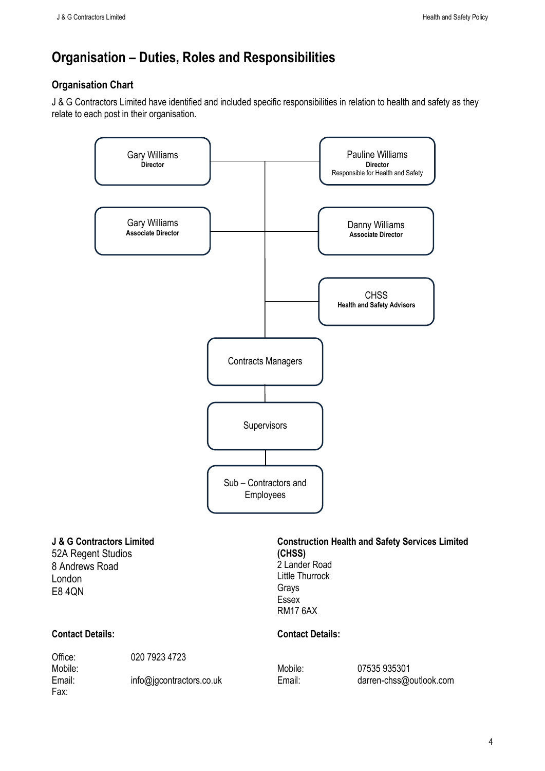## <span id="page-3-0"></span>**Organisation – Duties, Roles and Responsibilities**

#### <span id="page-3-1"></span>**Organisation Chart**

J & G Contractors Limited have identified and included specific responsibilities in relation to health and safety as they relate to each post in their organisation.



#### **J & G Contractors Limited**

52A Regent Studios 8 Andrews Road London E8 4QN

#### **Construction Health and Safety Services Limited (CHSS)** 2 Lander Road Little Thurrock

Grays Essex RM17 6AX

#### **Contact Details: Contact Details:**

Fax:

Office: 020 7923 4723

Mobile: Mobile: 07535 935301 Email: info@jgcontractors.co.uk Email: darren-chss@outlook.com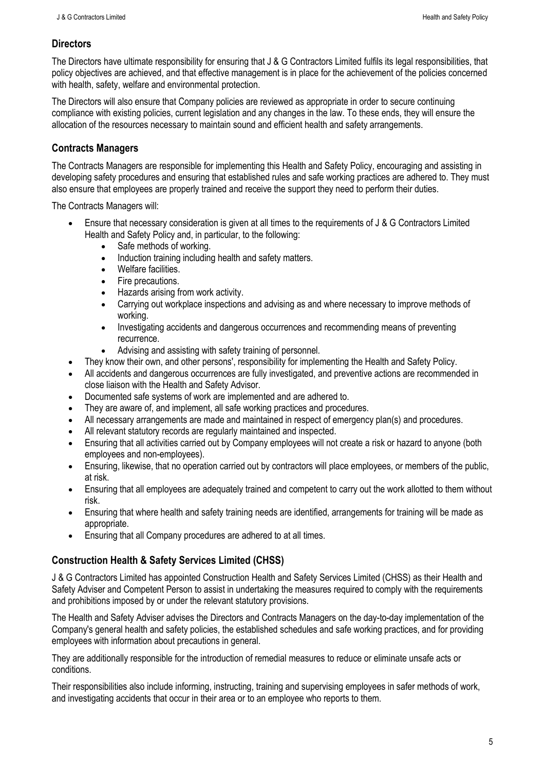#### <span id="page-4-0"></span>**Directors**

The Directors have ultimate responsibility for ensuring that J & G Contractors Limited fulfils its legal responsibilities, that policy objectives are achieved, and that effective management is in place for the achievement of the policies concerned with health, safety, welfare and environmental protection.

The Directors will also ensure that Company policies are reviewed as appropriate in order to secure continuing compliance with existing policies, current legislation and any changes in the law. To these ends, they will ensure the allocation of the resources necessary to maintain sound and efficient health and safety arrangements.

#### <span id="page-4-1"></span>**Contracts Managers**

The Contracts Managers are responsible for implementing this Health and Safety Policy, encouraging and assisting in developing safety procedures and ensuring that established rules and safe working practices are adhered to. They must also ensure that employees are properly trained and receive the support they need to perform their duties.

The Contracts Managers will:

- Ensure that necessary consideration is given at all times to the requirements of J & G Contractors Limited Health and Safety Policy and, in particular, to the following:
	- Safe methods of working.
	- Induction training including health and safety matters.
	- Welfare facilities.
	- Fire precautions.
	- Hazards arising from work activity.
	- Carrying out workplace inspections and advising as and where necessary to improve methods of working.
	- Investigating accidents and dangerous occurrences and recommending means of preventing recurrence.
	- Advising and assisting with safety training of personnel.
- They know their own, and other persons', responsibility for implementing the Health and Safety Policy.
- All accidents and dangerous occurrences are fully investigated, and preventive actions are recommended in close liaison with the Health and Safety Advisor.
- Documented safe systems of work are implemented and are adhered to.
- They are aware of, and implement, all safe working practices and procedures.
- All necessary arrangements are made and maintained in respect of emergency plan(s) and procedures.
- All relevant statutory records are regularly maintained and inspected.
- Ensuring that all activities carried out by Company employees will not create a risk or hazard to anyone (both employees and non-employees).
- Ensuring, likewise, that no operation carried out by contractors will place employees, or members of the public, at risk.
- Ensuring that all employees are adequately trained and competent to carry out the work allotted to them without risk.
- Ensuring that where health and safety training needs are identified, arrangements for training will be made as appropriate.
- Ensuring that all Company procedures are adhered to at all times.

#### <span id="page-4-2"></span>**Construction Health & Safety Services Limited (CHSS)**

J & G Contractors Limited has appointed Construction Health and Safety Services Limited (CHSS) as their Health and Safety Adviser and Competent Person to assist in undertaking the measures required to comply with the requirements and prohibitions imposed by or under the relevant statutory provisions.

The Health and Safety Adviser advises the Directors and Contracts Managers on the day-to-day implementation of the Company's general health and safety policies, the established schedules and safe working practices, and for providing employees with information about precautions in general.

They are additionally responsible for the introduction of remedial measures to reduce or eliminate unsafe acts or conditions.

Their responsibilities also include informing, instructing, training and supervising employees in safer methods of work, and investigating accidents that occur in their area or to an employee who reports to them.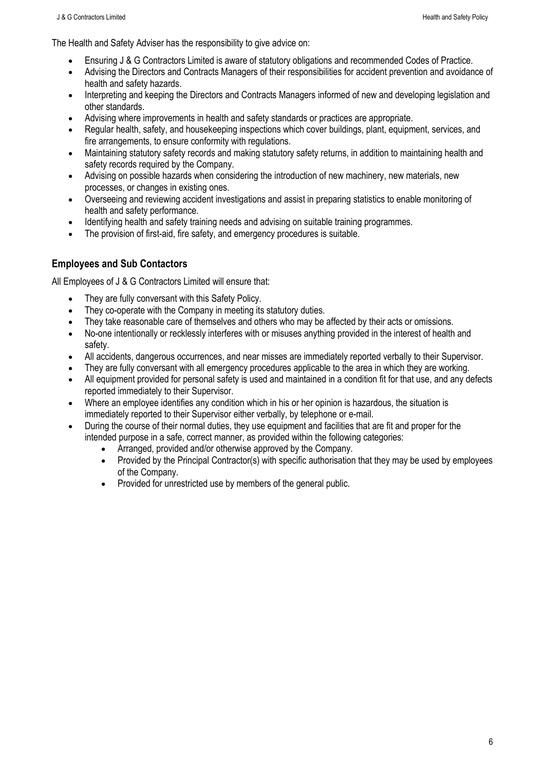The Health and Safety Adviser has the responsibility to give advice on:

- Ensuring J & G Contractors Limited is aware of statutory obligations and recommended Codes of Practice.
- Advising the Directors and Contracts Managers of their responsibilities for accident prevention and avoidance of health and safety hazards.
- Interpreting and keeping the Directors and Contracts Managers informed of new and developing legislation and other standards.
- Advising where improvements in health and safety standards or practices are appropriate.
- Regular health, safety, and housekeeping inspections which cover buildings, plant, equipment, services, and fire arrangements, to ensure conformity with regulations.
- Maintaining statutory safety records and making statutory safety returns, in addition to maintaining health and safety records required by the Company.
- Advising on possible hazards when considering the introduction of new machinery, new materials, new processes, or changes in existing ones.
- Overseeing and reviewing accident investigations and assist in preparing statistics to enable monitoring of health and safety performance.
- Identifying health and safety training needs and advising on suitable training programmes.
- The provision of first-aid, fire safety, and emergency procedures is suitable.

#### <span id="page-5-0"></span>**Employees and Sub Contactors**

All Employees of J & G Contractors Limited will ensure that:

- They are fully conversant with this Safety Policy.
- They co-operate with the Company in meeting its statutory duties.
- They take reasonable care of themselves and others who may be affected by their acts or omissions.
- No-one intentionally or recklessly interferes with or misuses anything provided in the interest of health and safety.
- All accidents, dangerous occurrences, and near misses are immediately reported verbally to their Supervisor.
- They are fully conversant with all emergency procedures applicable to the area in which they are working.
- All equipment provided for personal safety is used and maintained in a condition fit for that use, and any defects reported immediately to their Supervisor.
- Where an employee identifies any condition which in his or her opinion is hazardous, the situation is immediately reported to their Supervisor either verbally, by telephone or e-mail.
- During the course of their normal duties, they use equipment and facilities that are fit and proper for the intended purpose in a safe, correct manner, as provided within the following categories:
	- Arranged, provided and/or otherwise approved by the Company.
	- Provided by the Principal Contractor(s) with specific authorisation that they may be used by employees of the Company.
	- Provided for unrestricted use by members of the general public.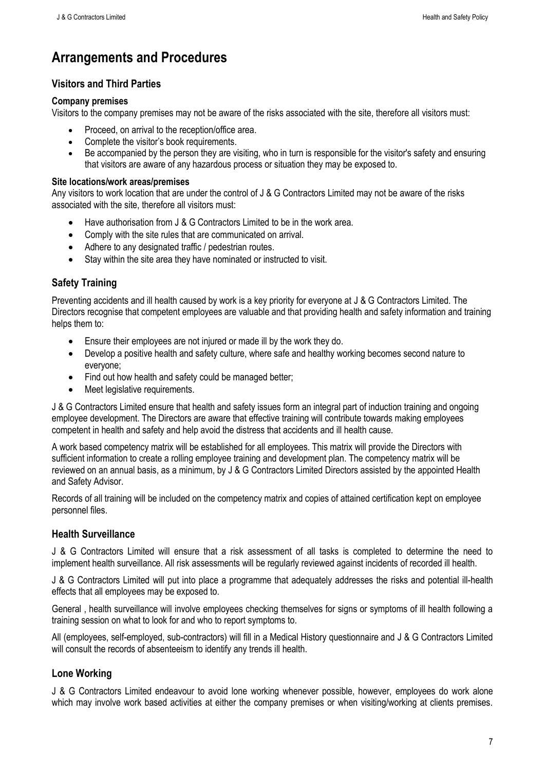# <span id="page-6-0"></span>**Arrangements and Procedures**

## <span id="page-6-1"></span>**Visitors and Third Parties**

#### **Company premises**

Visitors to the company premises may not be aware of the risks associated with the site, therefore all visitors must:

- Proceed, on arrival to the reception/office area.
- Complete the visitor's book requirements.
- Be accompanied by the person they are visiting, who in turn is responsible for the visitor's safety and ensuring that visitors are aware of any hazardous process or situation they may be exposed to.

#### **Site locations/work areas/premises**

Any visitors to work location that are under the control of J & G Contractors Limited may not be aware of the risks associated with the site, therefore all visitors must:

- Have authorisation from J & G Contractors Limited to be in the work area.
- Comply with the site rules that are communicated on arrival.
- Adhere to any designated traffic / pedestrian routes.
- Stay within the site area they have nominated or instructed to visit.

## <span id="page-6-2"></span>**Safety Training**

Preventing accidents and ill health caused by work is a key priority for everyone at J & G Contractors Limited. The Directors recognise that competent employees are valuable and that providing health and safety information and training helps them to:

- Ensure their employees are not injured or made ill by the work they do.
- Develop a positive health and safety culture, where safe and healthy working becomes second nature to everyone;
- Find out how health and safety could be managed better;
- Meet legislative requirements.

J & G Contractors Limited ensure that health and safety issues form an integral part of induction training and ongoing employee development. The Directors are aware that effective training will contribute towards making employees competent in health and safety and help avoid the distress that accidents and ill health cause.

A work based competency matrix will be established for all employees. This matrix will provide the Directors with sufficient information to create a rolling employee training and development plan. The competency matrix will be reviewed on an annual basis, as a minimum, by J & G Contractors Limited Directors assisted by the appointed Health and Safety Advisor.

Records of all training will be included on the competency matrix and copies of attained certification kept on employee personnel files.

#### <span id="page-6-3"></span>**Health Surveillance**

J & G Contractors Limited will ensure that a risk assessment of all tasks is completed to determine the need to implement health surveillance. All risk assessments will be regularly reviewed against incidents of recorded ill health.

J & G Contractors Limited will put into place a programme that adequately addresses the risks and potential ill-health effects that all employees may be exposed to.

General , health surveillance will involve employees checking themselves for signs or symptoms of ill health following a training session on what to look for and who to report symptoms to.

All (employees, self-employed, sub-contractors) will fill in a Medical History questionnaire and J & G Contractors Limited will consult the records of absenteeism to identify any trends ill health.

#### <span id="page-6-4"></span>**Lone Working**

J & G Contractors Limited endeavour to avoid lone working whenever possible, however, employees do work alone which may involve work based activities at either the company premises or when visiting/working at clients premises.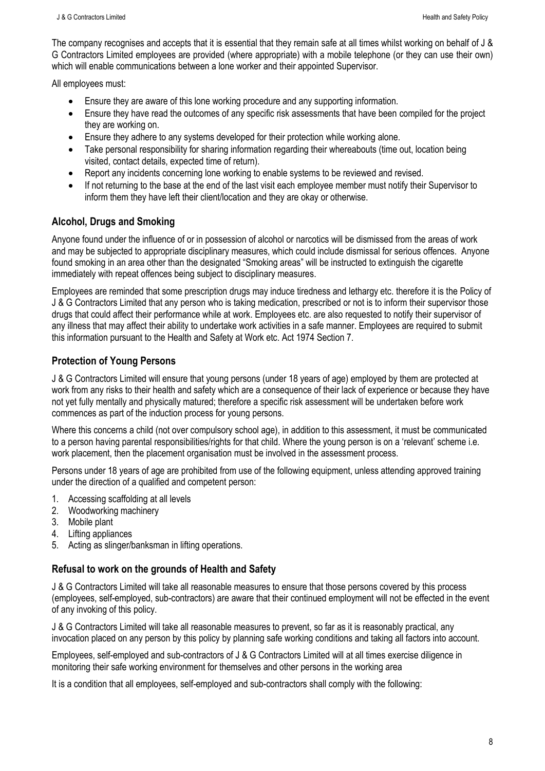The company recognises and accepts that it is essential that they remain safe at all times whilst working on behalf of J & G Contractors Limited employees are provided (where appropriate) with a mobile telephone (or they can use their own) which will enable communications between a lone worker and their appointed Supervisor.

All employees must:

- Ensure they are aware of this lone working procedure and any supporting information.
- Ensure they have read the outcomes of any specific risk assessments that have been compiled for the project they are working on.
- Ensure they adhere to any systems developed for their protection while working alone.
- Take personal responsibility for sharing information regarding their whereabouts (time out, location being visited, contact details, expected time of return).
- Report any incidents concerning lone working to enable systems to be reviewed and revised.
- If not returning to the base at the end of the last visit each employee member must notify their Supervisor to inform them they have left their client/location and they are okay or otherwise.

#### <span id="page-7-0"></span>**Alcohol, Drugs and Smoking**

Anyone found under the influence of or in possession of alcohol or narcotics will be dismissed from the areas of work and may be subjected to appropriate disciplinary measures, which could include dismissal for serious offences. Anyone found smoking in an area other than the designated "Smoking areas" will be instructed to extinguish the cigarette immediately with repeat offences being subject to disciplinary measures.

Employees are reminded that some prescription drugs may induce tiredness and lethargy etc. therefore it is the Policy of J & G Contractors Limited that any person who is taking medication, prescribed or not is to inform their supervisor those drugs that could affect their performance while at work. Employees etc. are also requested to notify their supervisor of any illness that may affect their ability to undertake work activities in a safe manner. Employees are required to submit this information pursuant to the Health and Safety at Work etc. Act 1974 Section 7.

#### <span id="page-7-1"></span>**Protection of Young Persons**

J & G Contractors Limited will ensure that young persons (under 18 years of age) employed by them are protected at work from any risks to their health and safety which are a consequence of their lack of experience or because they have not yet fully mentally and physically matured; therefore a specific risk assessment will be undertaken before work commences as part of the induction process for young persons.

Where this concerns a child (not over compulsory school age), in addition to this assessment, it must be communicated to a person having parental responsibilities/rights for that child. Where the young person is on a 'relevant' scheme i.e. work placement, then the placement organisation must be involved in the assessment process.

Persons under 18 years of age are prohibited from use of the following equipment, unless attending approved training under the direction of a qualified and competent person:

- 1. Accessing scaffolding at all levels
- 2. Woodworking machinery
- 3. Mobile plant
- 4. Lifting appliances
- 5. Acting as slinger/banksman in lifting operations.

#### <span id="page-7-2"></span>**Refusal to work on the grounds of Health and Safety**

J & G Contractors Limited will take all reasonable measures to ensure that those persons covered by this process (employees, self-employed, sub-contractors) are aware that their continued employment will not be effected in the event of any invoking of this policy.

J & G Contractors Limited will take all reasonable measures to prevent, so far as it is reasonably practical, any invocation placed on any person by this policy by planning safe working conditions and taking all factors into account.

Employees, self-employed and sub-contractors of J & G Contractors Limited will at all times exercise diligence in monitoring their safe working environment for themselves and other persons in the working area

It is a condition that all employees, self-employed and sub-contractors shall comply with the following: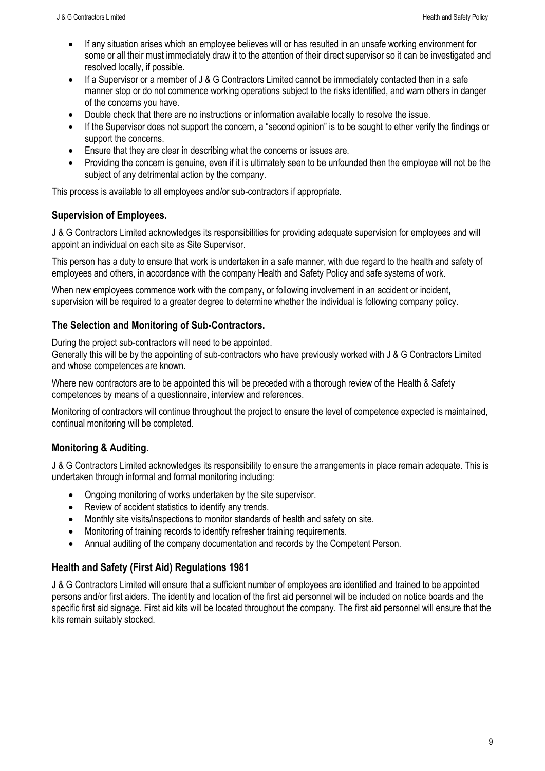- If any situation arises which an employee believes will or has resulted in an unsafe working environment for some or all their must immediately draw it to the attention of their direct supervisor so it can be investigated and resolved locally, if possible.
- If a Supervisor or a member of J & G Contractors Limited cannot be immediately contacted then in a safe manner stop or do not commence working operations subject to the risks identified, and warn others in danger of the concerns you have.
- Double check that there are no instructions or information available locally to resolve the issue.
- If the Supervisor does not support the concern, a "second opinion" is to be sought to ether verify the findings or support the concerns.
- Ensure that they are clear in describing what the concerns or issues are.
- Providing the concern is genuine, even if it is ultimately seen to be unfounded then the employee will not be the subject of any detrimental action by the company.

This process is available to all employees and/or sub-contractors if appropriate.

#### <span id="page-8-0"></span>**Supervision of Employees.**

J & G Contractors Limited acknowledges its responsibilities for providing adequate supervision for employees and will appoint an individual on each site as Site Supervisor.

This person has a duty to ensure that work is undertaken in a safe manner, with due regard to the health and safety of employees and others, in accordance with the company Health and Safety Policy and safe systems of work.

When new employees commence work with the company, or following involvement in an accident or incident, supervision will be required to a greater degree to determine whether the individual is following company policy.

#### <span id="page-8-1"></span>**The Selection and Monitoring of Sub-Contractors.**

During the project sub-contractors will need to be appointed.

Generally this will be by the appointing of sub-contractors who have previously worked with J & G Contractors Limited and whose competences are known.

Where new contractors are to be appointed this will be preceded with a thorough review of the Health & Safety competences by means of a questionnaire, interview and references.

Monitoring of contractors will continue throughout the project to ensure the level of competence expected is maintained, continual monitoring will be completed.

#### <span id="page-8-2"></span>**Monitoring & Auditing.**

J & G Contractors Limited acknowledges its responsibility to ensure the arrangements in place remain adequate. This is undertaken through informal and formal monitoring including:

- Ongoing monitoring of works undertaken by the site supervisor.
- Review of accident statistics to identify any trends.
- Monthly site visits/inspections to monitor standards of health and safety on site.
- Monitoring of training records to identify refresher training requirements.
- Annual auditing of the company documentation and records by the Competent Person.

#### <span id="page-8-3"></span>**Health and Safety (First Aid) Regulations 1981**

J & G Contractors Limited will ensure that a sufficient number of employees are identified and trained to be appointed persons and/or first aiders. The identity and location of the first aid personnel will be included on notice boards and the specific first aid signage. First aid kits will be located throughout the company. The first aid personnel will ensure that the kits remain suitably stocked.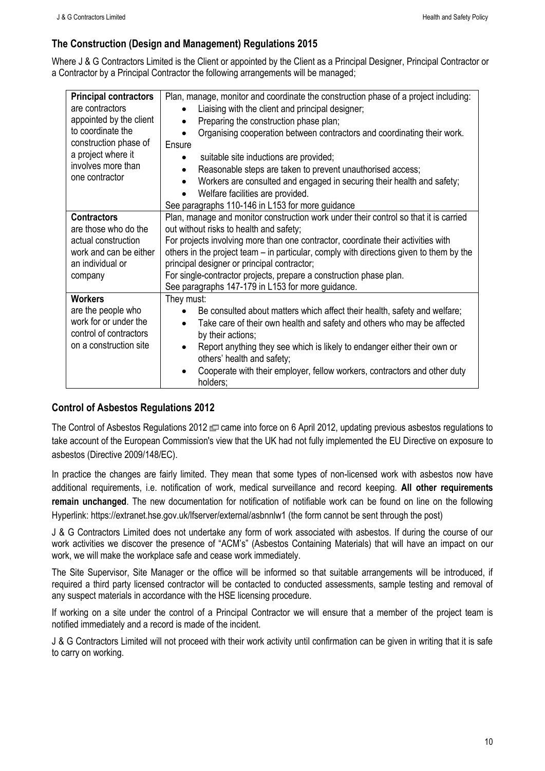## <span id="page-9-0"></span>**The Construction (Design and Management) Regulations 2015**

Where J & G Contractors Limited is the Client or appointed by the Client as a Principal Designer, Principal Contractor or a Contractor by a Principal Contractor the following arrangements will be managed;

| <b>Principal contractors</b>                               | Plan, manage, monitor and coordinate the construction phase of a project including:     |  |  |  |  |
|------------------------------------------------------------|-----------------------------------------------------------------------------------------|--|--|--|--|
| are contractors                                            | Liaising with the client and principal designer;                                        |  |  |  |  |
| appointed by the client                                    | Preparing the construction phase plan;                                                  |  |  |  |  |
| to coordinate the                                          | Organising cooperation between contractors and coordinating their work.                 |  |  |  |  |
| construction phase of                                      | Ensure                                                                                  |  |  |  |  |
| a project where it<br>involves more than<br>one contractor | suitable site inductions are provided;                                                  |  |  |  |  |
|                                                            | Reasonable steps are taken to prevent unauthorised access;                              |  |  |  |  |
|                                                            | Workers are consulted and engaged in securing their health and safety;                  |  |  |  |  |
|                                                            | Welfare facilities are provided.                                                        |  |  |  |  |
|                                                            | See paragraphs 110-146 in L153 for more guidance                                        |  |  |  |  |
| <b>Contractors</b>                                         | Plan, manage and monitor construction work under their control so that it is carried    |  |  |  |  |
| are those who do the                                       | out without risks to health and safety;                                                 |  |  |  |  |
| actual construction                                        | For projects involving more than one contractor, coordinate their activities with       |  |  |  |  |
| work and can be either                                     | others in the project team – in particular, comply with directions given to them by the |  |  |  |  |
| an individual or                                           | principal designer or principal contractor;                                             |  |  |  |  |
| company                                                    | For single-contractor projects, prepare a construction phase plan.                      |  |  |  |  |
|                                                            | See paragraphs 147-179 in L153 for more guidance.                                       |  |  |  |  |
| <b>Workers</b>                                             | They must:                                                                              |  |  |  |  |
| are the people who                                         | Be consulted about matters which affect their health, safety and welfare;               |  |  |  |  |
| work for or under the                                      | Take care of their own health and safety and others who may be affected                 |  |  |  |  |
| control of contractors<br>on a construction site           | by their actions;                                                                       |  |  |  |  |
|                                                            | Report anything they see which is likely to endanger either their own or                |  |  |  |  |
|                                                            | others' health and safety;                                                              |  |  |  |  |
|                                                            | Cooperate with their employer, fellow workers, contractors and other duty               |  |  |  |  |
|                                                            | holders;                                                                                |  |  |  |  |

#### <span id="page-9-1"></span>**Control of Asbestos Regulations 2012**

The [Control of Asbestos Regulations 2012](http://www.legislation.gov.uk/uksi/2012/632/contents/made) came into force on 6 April 2012, updating previous asbestos regulations to take account of the European Commission's view that the UK had not fully implemented the EU Directive on exposure to asbestos (Directive 2009/148/EC).

In practice the changes are fairly limited. They mean that some types of non-licensed work with asbestos now have additional requirements, i.e. notification of work, medical surveillance and record keeping. **All other requirements remain unchanged**. The new documentation for notification of notifiable work can be found on line on the following Hyperlink:<https://extranet.hse.gov.uk/lfserver/external/asbnnlw1> (the form cannot be sent through the post)

J & G Contractors Limited does not undertake any form of work associated with asbestos. If during the course of our work activities we discover the presence of "ACM's" (Asbestos Containing Materials) that will have an impact on our work, we will make the workplace safe and cease work immediately.

The Site Supervisor, Site Manager or the office will be informed so that suitable arrangements will be introduced, if required a third party licensed contractor will be contacted to conducted assessments, sample testing and removal of any suspect materials in accordance with the HSE licensing procedure.

If working on a site under the control of a Principal Contractor we will ensure that a member of the project team is notified immediately and a record is made of the incident.

J & G Contractors Limited will not proceed with their work activity until confirmation can be given in writing that it is safe to carry on working.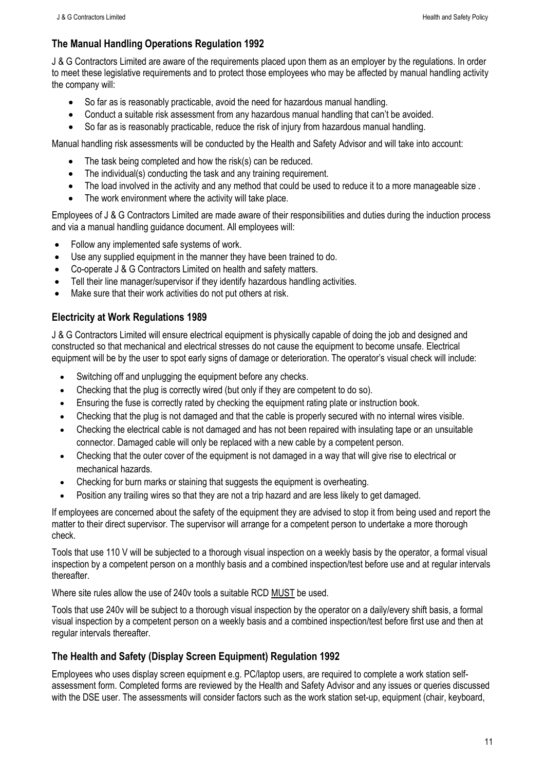## <span id="page-10-0"></span>**The Manual Handling Operations Regulation 1992**

J & G Contractors Limited are aware of the requirements placed upon them as an employer by the regulations. In order to meet these legislative requirements and to protect those employees who may be affected by manual handling activity the company will:

- So far as is reasonably practicable, avoid the need for hazardous manual handling.
- Conduct a suitable risk assessment from any hazardous manual handling that can't be avoided.
- So far as is reasonably practicable, reduce the risk of injury from hazardous manual handling.

Manual handling risk assessments will be conducted by the Health and Safety Advisor and will take into account:

- The task being completed and how the risk(s) can be reduced.
- The individual(s) conducting the task and any training requirement.
- The load involved in the activity and any method that could be used to reduce it to a more manageable size.
- The work environment where the activity will take place.

Employees of J & G Contractors Limited are made aware of their responsibilities and duties during the induction process and via a manual handling guidance document. All employees will:

- Follow any implemented safe systems of work.
- Use any supplied equipment in the manner they have been trained to do.
- Co-operate J & G Contractors Limited on health and safety matters.
- Tell their line manager/supervisor if they identify hazardous handling activities.
- Make sure that their work activities do not put others at risk.

#### <span id="page-10-1"></span>**Electricity at Work Regulations 1989**

J & G Contractors Limited will ensure electrical equipment is physically capable of doing the job and designed and constructed so that mechanical and electrical stresses do not cause the equipment to become unsafe. Electrical equipment will be by the user to spot early signs of damage or deterioration. The operator's visual check will include:

- Switching off and unplugging the equipment before any checks.
- Checking that the plug is correctly wired (but only if they are competent to do so).
- Ensuring the fuse is correctly rated by checking the equipment rating plate or instruction book.
- Checking that the plug is not damaged and that the cable is properly secured with no internal wires visible.
- Checking the electrical cable is not damaged and has not been repaired with insulating tape or an unsuitable connector. Damaged cable will only be replaced with a new cable by a competent person.
- Checking that the outer cover of the equipment is not damaged in a way that will give rise to electrical or mechanical hazards.
- Checking for burn marks or staining that suggests the equipment is overheating.
- Position any trailing wires so that they are not a trip hazard and are less likely to get damaged.

If employees are concerned about the safety of the equipment they are advised to stop it from being used and report the matter to their direct supervisor. The supervisor will arrange for a competent person to undertake a more thorough check.

Tools that use 110 V will be subjected to a thorough visual inspection on a weekly basis by the operator, a formal visual inspection by a competent person on a monthly basis and a combined inspection/test before use and at regular intervals thereafter.

Where site rules allow the use of 240v tools a suitable RCD MUST be used.

Tools that use 240v will be subject to a thorough visual inspection by the operator on a daily/every shift basis, a formal visual inspection by a competent person on a weekly basis and a combined inspection/test before first use and then at regular intervals thereafter.

#### <span id="page-10-2"></span>**The Health and Safety (Display Screen Equipment) Regulation 1992**

Employees who uses display screen equipment e.g. PC/laptop users, are required to complete a work station selfassessment form. Completed forms are reviewed by the Health and Safety Advisor and any issues or queries discussed with the DSE user. The assessments will consider factors such as the work station set-up, equipment (chair, keyboard,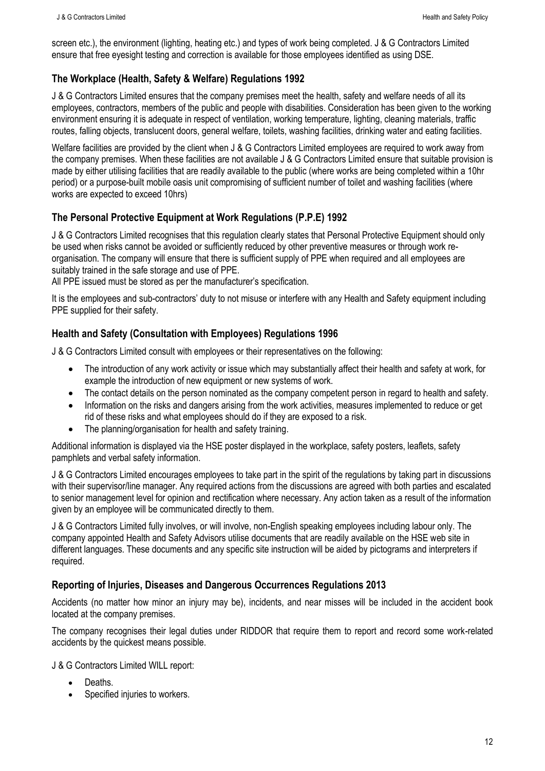screen etc.), the environment (lighting, heating etc.) and types of work being completed. J & G Contractors Limited ensure that free eyesight testing and correction is available for those employees identified as using DSE.

## <span id="page-11-0"></span>**The Workplace (Health, Safety & Welfare) Regulations 1992**

J & G Contractors Limited ensures that the company premises meet the health, safety and welfare needs of all its employees, contractors, members of the public and people with disabilities. Consideration has been given to the working environment ensuring it is adequate in respect of ventilation, working temperature, lighting, cleaning materials, traffic routes, falling objects, translucent doors, general welfare, toilets, washing facilities, drinking water and eating facilities.

Welfare facilities are provided by the client when J & G Contractors Limited employees are required to work away from the company premises. When these facilities are not available J & G Contractors Limited ensure that suitable provision is made by either utilising facilities that are readily available to the public (where works are being completed within a 10hr period) or a purpose-built mobile oasis unit compromising of sufficient number of toilet and washing facilities (where works are expected to exceed 10hrs)

#### <span id="page-11-1"></span>**The Personal Protective Equipment at Work Regulations (P.P.E) 1992**

J & G Contractors Limited recognises that this regulation clearly states that Personal Protective Equipment should only be used when risks cannot be avoided or sufficiently reduced by other preventive measures or through work reorganisation. The company will ensure that there is sufficient supply of PPE when required and all employees are suitably trained in the safe storage and use of PPE.

All PPE issued must be stored as per the manufacturer's specification.

It is the employees and sub-contractors' duty to not misuse or interfere with any Health and Safety equipment including PPE supplied for their safety.

## <span id="page-11-2"></span>**Health and Safety (Consultation with Employees) Regulations 1996**

J & G Contractors Limited consult with employees or their representatives on the following:

- The introduction of any work activity or issue which may substantially affect their health and safety at work, for example the introduction of new equipment or new systems of work.
- The contact details on the person nominated as the company competent person in regard to health and safety.
- Information on the risks and dangers arising from the work activities, measures implemented to reduce or get rid of these risks and what employees should do if they are exposed to a risk.
- The planning/organisation for health and safety training.

Additional information is displayed via the HSE poster displayed in the workplace, safety posters, leaflets, safety pamphlets and verbal safety information.

J & G Contractors Limited encourages employees to take part in the spirit of the regulations by taking part in discussions with their supervisor/line manager. Any required actions from the discussions are agreed with both parties and escalated to senior management level for opinion and rectification where necessary. Any action taken as a result of the information given by an employee will be communicated directly to them.

J & G Contractors Limited fully involves, or will involve, non-English speaking employees including labour only. The company appointed Health and Safety Advisors utilise documents that are readily available on the HSE web site in different languages. These documents and any specific site instruction will be aided by pictograms and interpreters if required.

#### <span id="page-11-3"></span>**Reporting of Injuries, Diseases and Dangerous Occurrences Regulations 2013**

Accidents (no matter how minor an injury may be), incidents, and near misses will be included in the accident book located at the company premises.

The company recognises their legal duties under RIDDOR that require them to report and record some work-related accidents by the quickest means possible.

J & G Contractors Limited WILL report:

- Deaths.
- Specified injuries to workers.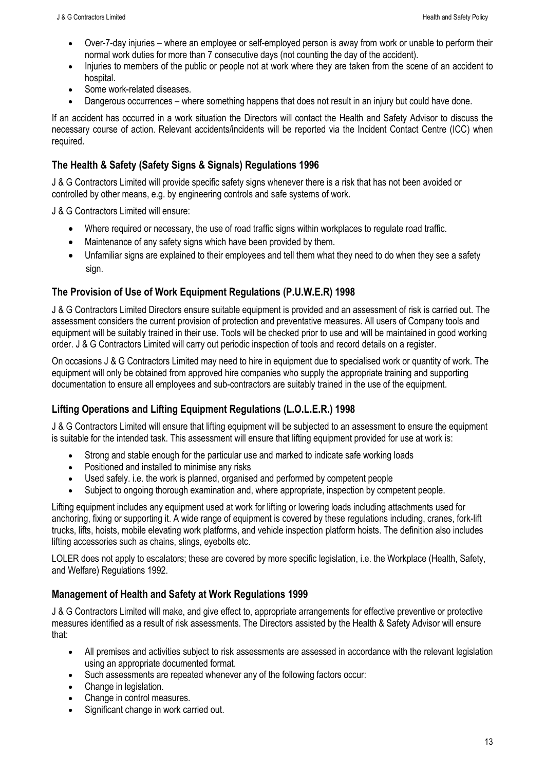- Over-7-day injuries where an employee or self-employed person is away from work or unable to perform their normal work duties for more than 7 consecutive days (not counting the day of the accident).
- Injuries to members of the public or people not at work where they are taken from the scene of an accident to hospital.
- Some work-related diseases.
- Dangerous occurrences where something happens that does not result in an injury but could have done.

If an accident has occurred in a work situation the Directors will contact the Health and Safety Advisor to discuss the necessary course of action. Relevant accidents/incidents will be reported via the Incident Contact Centre (ICC) when required.

#### <span id="page-12-0"></span>**The Health & Safety (Safety Signs & Signals) Regulations 1996**

J & G Contractors Limited will provide specific safety signs whenever there is a risk that has not been avoided or controlled by other means, e.g. by engineering controls and safe systems of work.

J & G Contractors Limited will ensure:

- Where required or necessary, the use of road traffic signs within workplaces to regulate road traffic.
- Maintenance of any safety signs which have been provided by them.
- Unfamiliar signs are explained to their employees and tell them what they need to do when they see a safety sign.

#### <span id="page-12-1"></span>**The Provision of Use of Work Equipment Regulations (P.U.W.E.R) 1998**

J & G Contractors Limited Directors ensure suitable equipment is provided and an assessment of risk is carried out. The assessment considers the current provision of protection and preventative measures. All users of Company tools and equipment will be suitably trained in their use. Tools will be checked prior to use and will be maintained in good working order. J & G Contractors Limited will carry out periodic inspection of tools and record details on a register.

On occasions J & G Contractors Limited may need to hire in equipment due to specialised work or quantity of work. The equipment will only be obtained from approved hire companies who supply the appropriate training and supporting documentation to ensure all employees and sub-contractors are suitably trained in the use of the equipment.

#### <span id="page-12-2"></span>**Lifting Operations and Lifting Equipment Regulations (L.O.L.E.R.) 1998**

J & G Contractors Limited will ensure that lifting equipment will be subjected to an assessment to ensure the equipment is suitable for the intended task. This assessment will ensure that lifting equipment provided for use at work is:

- Strong and stable enough for the particular use and marked to indicate safe working loads
- Positioned and installed to minimise any risks
- Used safely. i.e. the work is planned, organised and performed by competent people
- Subject to ongoing thorough examination and, where appropriate, inspection by competent people.

Lifting equipment includes any equipment used at work for lifting or lowering loads including attachments used for anchoring, fixing or supporting it. A wide range of equipment is covered by these regulations including, cranes, fork-lift trucks, lifts, hoists, mobile elevating work platforms, and vehicle inspection platform hoists. The definition also includes lifting accessories such as chains, slings, eyebolts etc.

LOLER does not apply to escalators; these are covered by more specific legislation, i.e. the Workplace (Health, Safety, and Welfare) Regulations 1992.

#### <span id="page-12-3"></span>**Management of Health and Safety at Work Regulations 1999**

J & G Contractors Limited will make, and give effect to, appropriate arrangements for effective preventive or protective measures identified as a result of risk assessments. The Directors assisted by the Health & Safety Advisor will ensure that:

- All premises and activities subject to risk assessments are assessed in accordance with the relevant legislation using an appropriate documented format.
- Such assessments are repeated whenever any of the following factors occur:
- Change in legislation.
- Change in control measures.
- Significant change in work carried out.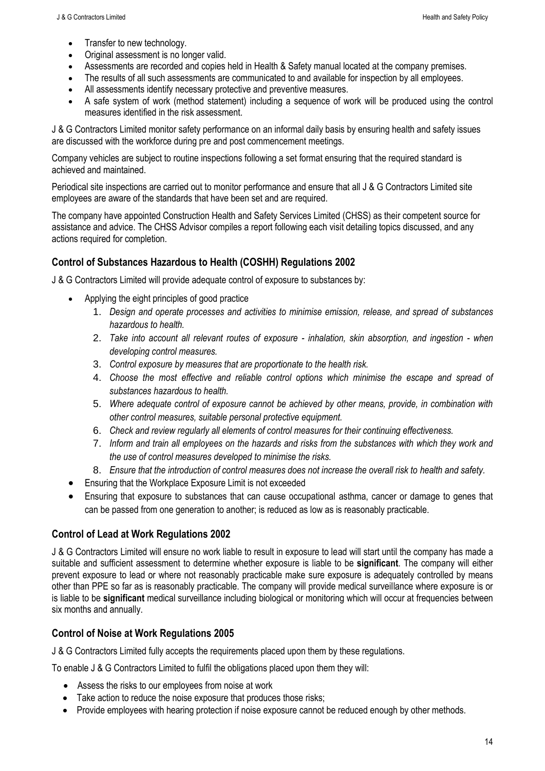- Transfer to new technology.
- Original assessment is no longer valid.
- Assessments are recorded and copies held in Health & Safety manual located at the company premises.
- The results of all such assessments are communicated to and available for inspection by all employees.
- All assessments identify necessary protective and preventive measures.
- A safe system of work (method statement) including a sequence of work will be produced using the control measures identified in the risk assessment.

J & G Contractors Limited monitor safety performance on an informal daily basis by ensuring health and safety issues are discussed with the workforce during pre and post commencement meetings.

Company vehicles are subject to routine inspections following a set format ensuring that the required standard is achieved and maintained.

Periodical site inspections are carried out to monitor performance and ensure that all J & G Contractors Limited site employees are aware of the standards that have been set and are required.

The company have appointed Construction Health and Safety Services Limited (CHSS) as their competent source for assistance and advice. The CHSS Advisor compiles a report following each visit detailing topics discussed, and any actions required for completion.

#### <span id="page-13-0"></span>**Control of Substances Hazardous to Health (COSHH) Regulations 2002**

J & G Contractors Limited will provide adequate control of exposure to substances by:

- Applying the eight principles of good practice
	- 1. *Design and operate processes and activities to minimise emission, release, and spread of substances hazardous to health.*
	- 2. *Take into account all relevant routes of exposure - inhalation, skin absorption, and ingestion - when developing control measures.*
	- 3. *Control exposure by measures that are proportionate to the health risk.*
	- 4. *Choose the most effective and reliable control options which minimise the escape and spread of substances hazardous to health.*
	- 5. *Where adequate control of exposure cannot be achieved by other means, provide, in combination with other control measures, suitable personal protective equipment.*
	- 6. *Check and review regularly all elements of control measures for their continuing effectiveness.*
	- 7. *Inform and train all employees on the hazards and risks from the substances with which they work and the use of control measures developed to minimise the risks.*
	- 8. *Ensure that the introduction of control measures does not increase the overall risk to health and safety.*
- Ensuring that the Workplace Exposure Limit is not exceeded
- Ensuring that exposure to substances that can cause occupational asthma, cancer or damage to genes that can be passed from one generation to another; is reduced as low as is reasonably practicable.

#### <span id="page-13-1"></span>**Control of Lead at Work Regulations 2002**

J & G Contractors Limited will ensure no work liable to result in exposure to lead will start until the company has made a suitable and sufficient assessment to determine whether exposure is liable to be **significant**. The company will either prevent exposure to lead or where not reasonably practicable make sure exposure is adequately controlled by means other than PPE so far as is reasonably practicable. The company will provide medical surveillance where exposure is or is liable to be **significant** medical surveillance including biological or monitoring which will occur at frequencies between six months and annually.

#### <span id="page-13-2"></span>**Control of Noise at Work Regulations 2005**

J & G Contractors Limited fully accepts the requirements placed upon them by these regulations.

To enable J & G Contractors Limited to fulfil the obligations placed upon them they will:

- Assess the risks to our employees from noise at work
- Take action to reduce the noise exposure that produces those risks;
- Provide employees with hearing protection if noise exposure cannot be reduced enough by other methods.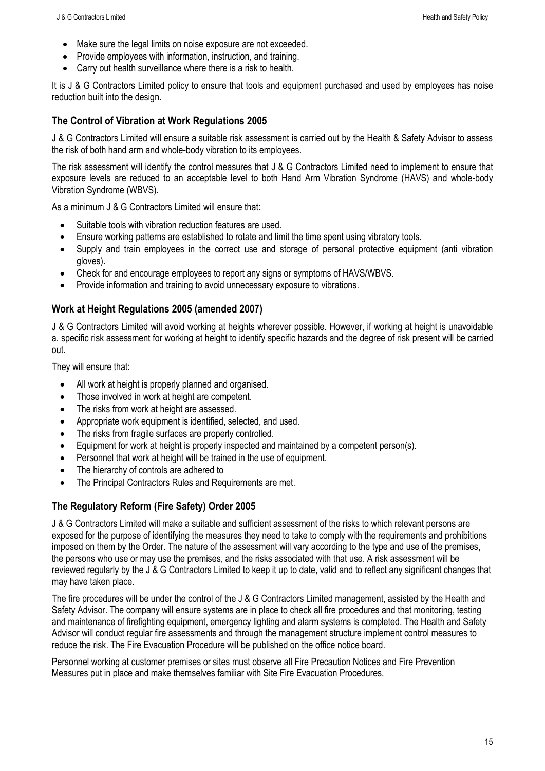- Make sure the legal limits on noise exposure are not exceeded.
- Provide employees with information, instruction, and training.
- Carry out health surveillance where there is a risk to health.

It is J & G Contractors Limited policy to ensure that tools and equipment purchased and used by employees has noise reduction built into the design.

#### <span id="page-14-0"></span>**The Control of Vibration at Work Regulations 2005**

J & G Contractors Limited will ensure a suitable risk assessment is carried out by the Health & Safety Advisor to assess the risk of both hand arm and whole-body vibration to its employees.

The risk assessment will identify the control measures that J & G Contractors Limited need to implement to ensure that exposure levels are reduced to an acceptable level to both Hand Arm Vibration Syndrome (HAVS) and whole-body Vibration Syndrome (WBVS).

As a minimum J & G Contractors Limited will ensure that:

- Suitable tools with vibration reduction features are used.
- Ensure working patterns are established to rotate and limit the time spent using vibratory tools.
- Supply and train employees in the correct use and storage of personal protective equipment (anti vibration gloves).
- Check for and encourage employees to report any signs or symptoms of HAVS/WBVS.
- Provide information and training to avoid unnecessary exposure to vibrations.

#### <span id="page-14-1"></span>**Work at Height Regulations 2005 (amended 2007)**

J & G Contractors Limited will avoid working at heights wherever possible. However, if working at height is unavoidable a. specific risk assessment for working at height to identify specific hazards and the degree of risk present will be carried out.

They will ensure that:

- All work at height is properly planned and organised.
- Those involved in work at height are competent.
- The risks from work at height are assessed.
- Appropriate work equipment is identified, selected, and used.
- The risks from fragile surfaces are properly controlled.
- Equipment for work at height is properly inspected and maintained by a competent person(s).
- Personnel that work at height will be trained in the use of equipment.
- The hierarchy of controls are adhered to
- The Principal Contractors Rules and Requirements are met.

#### <span id="page-14-2"></span>**The Regulatory Reform (Fire Safety) Order 2005**

J & G Contractors Limited will make a suitable and sufficient assessment of the risks to which relevant persons are exposed for the purpose of identifying the measures they need to take to comply with the requirements and prohibitions imposed on them by the Order. The nature of the assessment will vary according to the type and use of the premises, the persons who use or may use the premises, and the risks associated with that use. A risk assessment will be reviewed regularly by the J & G Contractors Limited to keep it up to date, valid and to reflect any significant changes that may have taken place.

The fire procedures will be under the control of the J & G Contractors Limited management, assisted by the Health and Safety Advisor. The company will ensure systems are in place to check all fire procedures and that monitoring, testing and maintenance of firefighting equipment, emergency lighting and alarm systems is completed. The Health and Safety Advisor will conduct regular fire assessments and through the management structure implement control measures to reduce the risk. The Fire Evacuation Procedure will be published on the office notice board.

Personnel working at customer premises or sites must observe all Fire Precaution Notices and Fire Prevention Measures put in place and make themselves familiar with Site Fire Evacuation Procedures.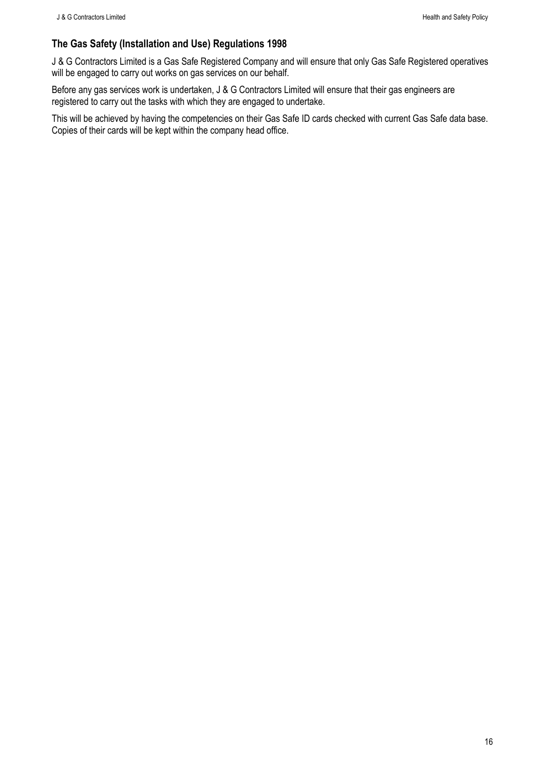## <span id="page-15-0"></span>**The Gas Safety (Installation and Use) Regulations 1998**

J & G Contractors Limited is a Gas Safe Registered Company and will ensure that only Gas Safe Registered operatives will be engaged to carry out works on gas services on our behalf.

Before any gas services work is undertaken, J & G Contractors Limited will ensure that their gas engineers are registered to carry out the tasks with which they are engaged to undertake.

This will be achieved by having the competencies on their Gas Safe ID cards checked with current Gas Safe data base. Copies of their cards will be kept within the company head office.